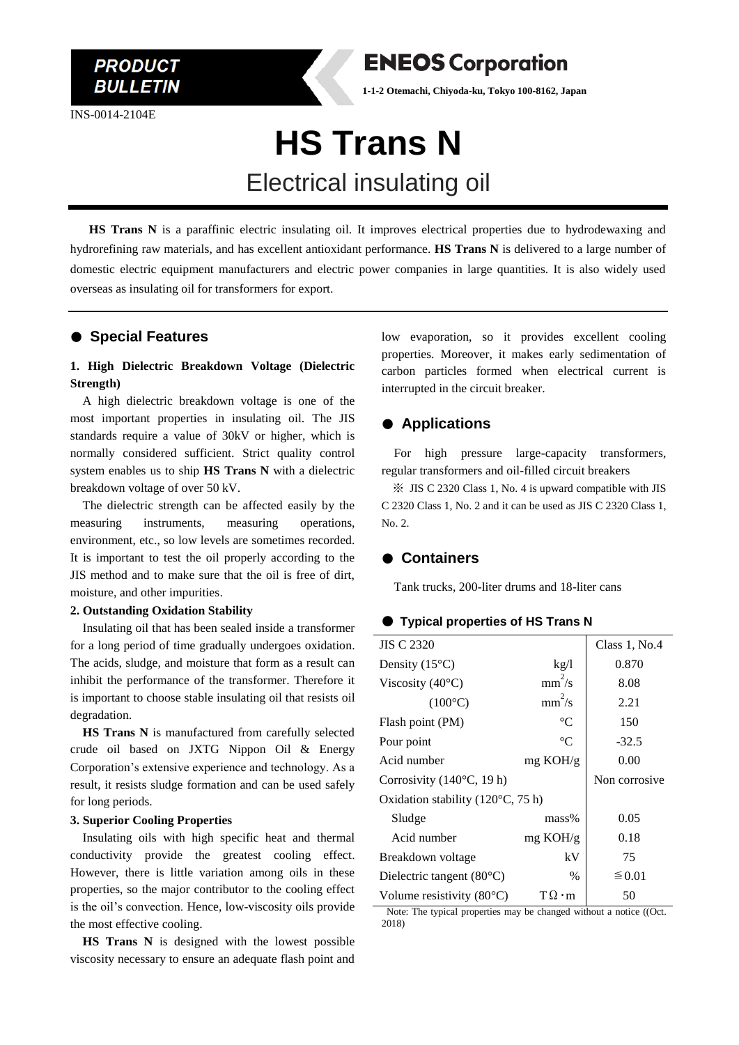INS-0014-2104E



**1-1-2 Otemachi, Chiyoda-ku, Tokyo 100-8162, Japan**

# **HS Trans N**

# Electrical insulating oil

 **HS Trans N** is a paraffinic electric insulating oil. It improves electrical properties due to hydrodewaxing and hydrorefining raw materials, and has excellent antioxidant performance. **HS Trans N** is delivered to a large number of domestic electric equipment manufacturers and electric power companies in large quantities. It is also widely used overseas as insulating oil for transformers for export.

# ● **Special Features**

## **1. High Dielectric Breakdown Voltage (Dielectric Strength)**

A high dielectric breakdown voltage is one of the most important properties in insulating oil. The JIS standards require a value of 30kV or higher, which is normally considered sufficient. Strict quality control system enables us to ship **HS Trans N** with a dielectric breakdown voltage of over 50 kV.

The dielectric strength can be affected easily by the measuring instruments, measuring operations, environment, etc., so low levels are sometimes recorded. It is important to test the oil properly according to the JIS method and to make sure that the oil is free of dirt, moisture, and other impurities.

#### **2. Outstanding Oxidation Stability**

Insulating oil that has been sealed inside a transformer for a long period of time gradually undergoes oxidation. The acids, sludge, and moisture that form as a result can inhibit the performance of the transformer. Therefore it is important to choose stable insulating oil that resists oil degradation.

**HS Trans N** is manufactured from carefully selected crude oil based on JXTG Nippon Oil & Energy Corporation's extensive experience and technology. As a result, it resists sludge formation and can be used safely for long periods.

#### **3. Superior Cooling Properties**

Insulating oils with high specific heat and thermal conductivity provide the greatest cooling effect. However, there is little variation among oils in these properties, so the major contributor to the cooling effect is the oil's convection. Hence, low-viscosity oils provide the most effective cooling.

**HS Trans N** is designed with the lowest possible viscosity necessary to ensure an adequate flash point and

low evaporation, so it provides excellent cooling properties. Moreover, it makes early sedimentation of carbon particles formed when electrical current is interrupted in the circuit breaker.

# ● **Applications**

For high pressure large-capacity transformers, regular transformers and oil-filled circuit breakers

※ JIS C 2320 Class 1, No. 4 is upward compatible with JIS C 2320 Class 1, No. 2 and it can be used as JIS C 2320 Class 1, No. 2.

## ● **Containers**

Tank trucks, 200-liter drums and 18-liter cans

#### ● **Typical properties of HS Trans N**

| <b>JIS C 2320</b>                          |                    | Class 1, No.4 |
|--------------------------------------------|--------------------|---------------|
| Density $(15^{\circ}C)$                    | kg/l               | 0.870         |
| Viscosity $(40^{\circ}C)$                  | $mm^2/s$           | 8.08          |
| $(100^{\circ}C)$                           | $mm^2/s$           | 2.21          |
| Flash point (PM)                           | $\rm ^{\circ}C$    | 150           |
| Pour point                                 | $^{\circ}C$        | $-32.5$       |
| Acid number                                | mg KOH/g           | 0.00          |
| Corrosivity $(140^{\circ}C, 19 h)$         |                    | Non corrosive |
| Oxidation stability $(120^{\circ}C, 75 h)$ |                    |               |
| Sludge                                     | $mass\%$           | 0.05          |
| Acid number                                | $mg \text{ KOH/g}$ | 0.18          |
| Breakdown voltage                          | kV                 | 75            |
| Dielectric tangent $(80^{\circ}C)$         | $\%$               | ≤ 0.01        |
| Volume resistivity $(80^{\circ}C)$         | $T\Omega \cdot m$  | 50            |

Note: The typical properties may be changed without a notice ((Oct. 2018)